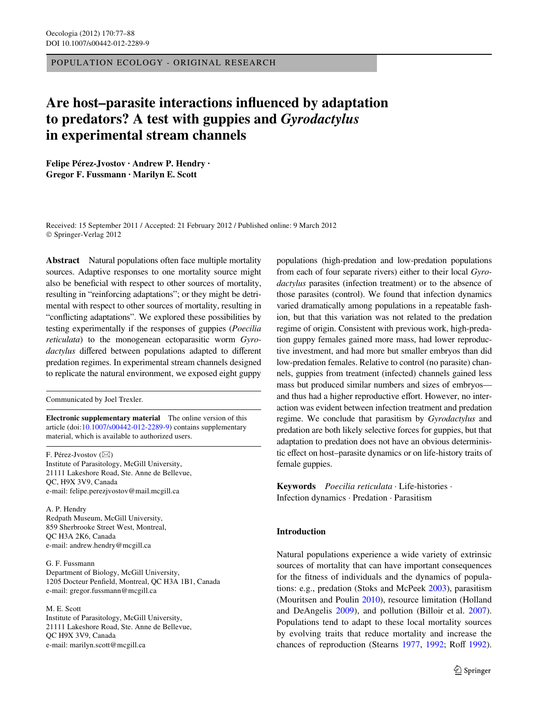POPULATION ECOLOGY - ORIGINAL RESEARCH

# Are host–parasite interactions influenced by adaptation **to predators? A test with guppies and** *Gyrodactylus* **in experimental stream channels**

**Felipe Pérez-Jvostov · Andrew P. Hendry · Gregor F. Fussmann · Marilyn E. Scott** 

Received: 15 September 2011 / Accepted: 21 February 2012 / Published online: 9 March 2012 © Springer-Verlag 2012

**Abstract** Natural populations often face multiple mortality sources. Adaptive responses to one mortality source might also be beneficial with respect to other sources of mortality, resulting in "reinforcing adaptations"; or they might be detrimental with respect to other sources of mortality, resulting in "conflicting adaptations". We explored these possibilities by testing experimentally if the responses of guppies (*Poecilia reticulata*) to the monogenean ectoparasitic worm *Gyrodactylus* differed between populations adapted to different predation regimes. In experimental stream channels designed to replicate the natural environment, we exposed eight guppy

Communicated by Joel Trexler.

**Electronic supplementary material** The online version of this article (doi[:10.1007/s00442-012-2289-9](http://dx.doi.org/10.1007/s00442-012-2289-9)) contains supplementary material, which is available to authorized users.

F. Pérez-Jvostov (⊠) Institute of Parasitology, McGill University, 21111 Lakeshore Road, Ste. Anne de Bellevue, QC, H9X 3V9, Canada e-mail: felipe.perezjvostov@mail.mcgill.ca

A. P. Hendry Redpath Museum, McGill University, 859 Sherbrooke Street West, Montreal, QC H3A 2K6, Canada e-mail: andrew.hendry@mcgill.ca

G. F. Fussmann Department of Biology, McGill University, 1205 Docteur Penfield, Montreal, QC H3A 1B1, Canada e-mail: gregor.fussmann@mcgill.ca

M. E. Scott Institute of Parasitology, McGill University, 21111 Lakeshore Road, Ste. Anne de Bellevue, QC H9X 3V9, Canada e-mail: marilyn.scott@mcgill.ca

populations (high-predation and low-predation populations from each of four separate rivers) either to their local *Gyrodactylus* parasites (infection treatment) or to the absence of those parasites (control). We found that infection dynamics varied dramatically among populations in a repeatable fashion, but that this variation was not related to the predation regime of origin. Consistent with previous work, high-predation guppy females gained more mass, had lower reproductive investment, and had more but smaller embryos than did low-predation females. Relative to control (no parasite) channels, guppies from treatment (infected) channels gained less mass but produced similar numbers and sizes of embryos and thus had a higher reproductive effort. However, no interaction was evident between infection treatment and predation regime. We conclude that parasitism by *Gyrodactylus* and predation are both likely selective forces for guppies, but that adaptation to predation does not have an obvious deterministic effect on host–parasite dynamics or on life-history traits of female guppies.

**Keywords** *Poecilia reticulata* · Life-histories · Infection dynamics · Predation · Parasitism

# **Introduction**

Natural populations experience a wide variety of extrinsic sources of mortality that can have important consequences for the fitness of individuals and the dynamics of populations: e.g., predation (Stoks and McPeek [2003](#page-11-0)), parasitism (Mouritsen and Poulin [2010\)](#page-10-0), resource limitation (Holland and DeAngelis [2009\)](#page-10-1), and pollution (Billoir et al. [2007](#page-10-2)). Populations tend to adapt to these local mortality sources by evolving traits that reduce mortality and increase the chances of reproduction (Stearns [1977,](#page-11-1) [1992](#page-11-3); Roff 1992).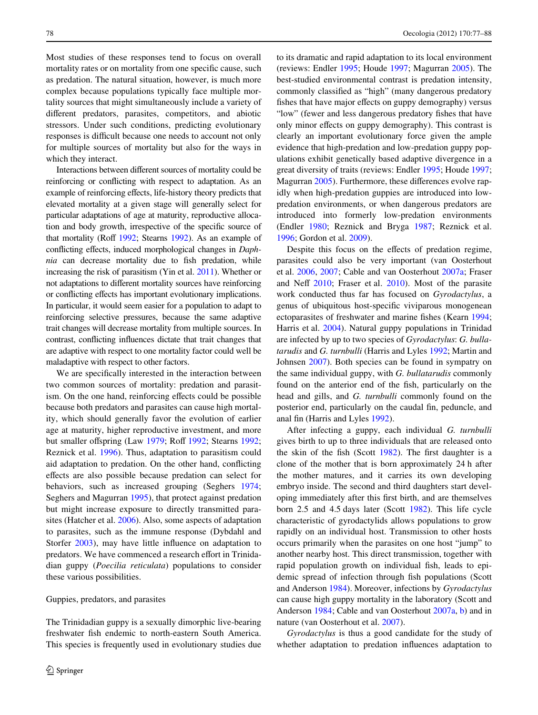Most studies of these responses tend to focus on overall mortality rates or on mortality from one specific cause, such as predation. The natural situation, however, is much more complex because populations typically face multiple mortality sources that might simultaneously include a variety of different predators, parasites, competitors, and abiotic stressors. Under such conditions, predicting evolutionary responses is difficult because one needs to account not only for multiple sources of mortality but also for the ways in which they interact.

Interactions between different sources of mortality could be reinforcing or conflicting with respect to adaptation. As an example of reinforcing effects, life-history theory predicts that elevated mortality at a given stage will generally select for particular adaptations of age at maturity, reproductive allocation and body growth, irrespective of the specific source of that mortality (Roff  $1992$ : Stearns 1992). As an example of conflicting effects, induced morphological changes in *Daphnia* can decrease mortality due to fish predation, while increasing the risk of parasitism (Yin et al. [2011](#page-11-4)). Whether or not adaptations to different mortality sources have reinforcing or conflicting effects has important evolutionary implications. In particular, it would seem easier for a population to adapt to reinforcing selective pressures, because the same adaptive trait changes will decrease mortality from multiple sources. In contrast, conflicting influences dictate that trait changes that are adaptive with respect to one mortality factor could well be maladaptive with respect to other factors.

We are specifically interested in the interaction between two common sources of mortality: predation and parasitism. On the one hand, reinforcing effects could be possible because both predators and parasites can cause high mortality, which should generally favor the evolution of earlier age at maturity, higher reproductive investment, and more but smaller offspring (Law [1979](#page-10-3); Roff [1992](#page-11-2); Stearns 1992; Reznick et al. [1996](#page-11-5)). Thus, adaptation to parasitism could aid adaptation to predation. On the other hand, conflicting effects are also possible because predation can select for behaviors, such as increased grouping (Seghers [1974](#page-11-6); Seghers and Magurran [1995](#page-11-7)), that protect against predation but might increase exposure to directly transmitted parasites (Hatcher et al. [2006](#page-10-4)). Also, some aspects of adaptation to parasites, such as the immune response (Dybdahl and Storfer [2003](#page-10-5)), may have little influence on adaptation to predators. We have commenced a research effort in Trinidadian guppy (*Poecilia reticulata*) populations to consider these various possibilities.

#### Guppies, predators, and parasites

The Trinidadian guppy is a sexually dimorphic live-bearing freshwater fish endemic to north-eastern South America. This species is frequently used in evolutionary studies due to its dramatic and rapid adaptation to its local environment (reviews: Endler [1995](#page-10-6); Houde [1997;](#page-10-7) Magurran [2005\)](#page-10-8). The best-studied environmental contrast is predation intensity, commonly classified as "high" (many dangerous predatory fishes that have major effects on guppy demography) versus "low" (fewer and less dangerous predatory fishes that have only minor effects on guppy demography). This contrast is clearly an important evolutionary force given the ample evidence that high-predation and low-predation guppy populations exhibit genetically based adaptive divergence in a great diversity of traits (reviews: Endler [1995](#page-10-6); Houde [1997;](#page-10-7) Magurran [2005\)](#page-10-8). Furthermore, these differences evolve rapidly when high-predation guppies are introduced into lowpredation environments, or when dangerous predators are introduced into formerly low-predation environments (Endler [1980;](#page-10-9) Reznick and Bryga [1987](#page-11-8); Reznick et al. [1996](#page-11-5); Gordon et al. [2009](#page-10-10)).

Despite this focus on the effects of predation regime, parasites could also be very important (van Oosterhout et al. [2006,](#page-11-9) [2007](#page-11-10); Cable and van Oosterhout [2007a](#page-10-11); Fraser and Neff  $2010$ ; Fraser et al.  $2010$ ). Most of the parasite work conducted thus far has focused on *Gyrodactylus*, a genus of ubiquitous host-specific viviparous monogenean ectoparasites of freshwater and marine fishes (Kearn [1994;](#page-10-14) Harris et al. [2004](#page-10-15)). Natural guppy populations in Trinidad are infected by up to two species of *Gyrodactylus*: *G. bullatarudis* and *G. turnbulli* (Harris and Lyles [1992](#page-10-16); Martin and Johnsen [2007\)](#page-10-17). Both species can be found in sympatry on the same individual guppy, with *G. bullatarudis* commonly found on the anterior end of the fish, particularly on the head and gills, and *G. turnbulli* commonly found on the posterior end, particularly on the caudal fin, peduncle, and anal fin (Harris and Lyles [1992\)](#page-10-16).

After infecting a guppy, each individual *G. turnbulli* gives birth to up to three individuals that are released onto the skin of the fish (Scott  $1982$ ). The first daughter is a clone of the mother that is born approximately 24 h after the mother matures, and it carries its own developing embryo inside. The second and third daughters start developing immediately after this first birth, and are themselves born 2.5 and 4.5 days later (Scott [1982\)](#page-11-11). This life cycle characteristic of gyrodactylids allows populations to grow rapidly on an individual host. Transmission to other hosts occurs primarily when the parasites on one host "jump" to another nearby host. This direct transmission, together with rapid population growth on individual fish, leads to epidemic spread of infection through fish populations (Scott and Anderson [1984\)](#page-11-12). Moreover, infections by *Gyrodactylus* can cause high guppy mortality in the laboratory (Scott and Anderson [1984;](#page-11-12) Cable and van Oosterhout [2007a,](#page-10-11) [b\)](#page-10-18) and in nature (van Oosterhout et al. [2007\)](#page-11-10).

*Gyrodactylus* is thus a good candidate for the study of whether adaptation to predation influences adaptation to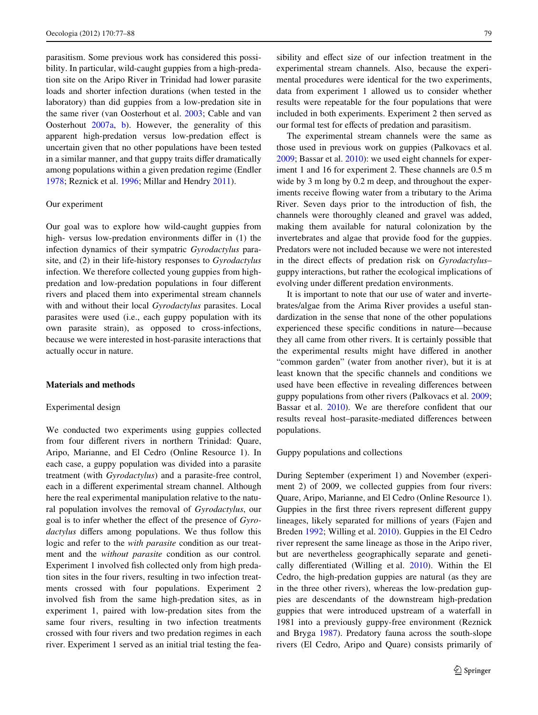parasitism. Some previous work has considered this possibility. In particular, wild-caught guppies from a high-predation site on the Aripo River in Trinidad had lower parasite loads and shorter infection durations (when tested in the laboratory) than did guppies from a low-predation site in the same river (van Oosterhout et al. [2003](#page-11-13); Cable and van Oosterhout [2007a,](#page-10-11) [b](#page-10-18)). However, the generality of this apparent high-predation versus low-predation effect is uncertain given that no other populations have been tested in a similar manner, and that guppy traits differ dramatically among populations within a given predation regime (Endler [1978](#page-10-19); Reznick et al. [1996](#page-11-5); Millar and Hendry [2011\)](#page-10-20).

## Our experiment

Our goal was to explore how wild-caught guppies from high- versus low-predation environments differ in (1) the infection dynamics of their sympatric *Gyrodactylus* parasite, and (2) in their life-history responses to *Gyrodactylus* infection. We therefore collected young guppies from highpredation and low-predation populations in four different rivers and placed them into experimental stream channels with and without their local *Gyrodactylus* parasites. Local parasites were used (i.e., each guppy population with its own parasite strain), as opposed to cross-infections, because we were interested in host-parasite interactions that actually occur in nature.

# **Materials and methods**

### Experimental design

We conducted two experiments using guppies collected from four different rivers in northern Trinidad: Quare, Aripo, Marianne, and El Cedro (Online Resource 1). In each case, a guppy population was divided into a parasite treatment (with *Gyrodactylus*) and a parasite-free control, each in a different experimental stream channel. Although here the real experimental manipulation relative to the natural population involves the removal of *Gyrodactylus*, our goal is to infer whether the effect of the presence of *Gyrodactylus* differs among populations. We thus follow this logic and refer to the *with parasite* condition as our treatment and the *without parasite* condition as our control*.* Experiment 1 involved fish collected only from high predation sites in the four rivers, resulting in two infection treatments crossed with four populations. Experiment 2 involved fish from the same high-predation sites, as in experiment 1, paired with low-predation sites from the same four rivers, resulting in two infection treatments crossed with four rivers and two predation regimes in each river. Experiment 1 served as an initial trial testing the feasibility and effect size of our infection treatment in the experimental stream channels. Also, because the experimental procedures were identical for the two experiments, data from experiment 1 allowed us to consider whether results were repeatable for the four populations that were included in both experiments. Experiment 2 then served as our formal test for effects of predation and parasitism.

The experimental stream channels were the same as those used in previous work on guppies (Palkovacs et al. [2009](#page-10-21); Bassar et al. [2010\)](#page-10-22): we used eight channels for experiment 1 and 16 for experiment 2. These channels are 0.5 m wide by 3 m long by 0.2 m deep, and throughout the experiments receive flowing water from a tributary to the Arima River. Seven days prior to the introduction of fish, the channels were thoroughly cleaned and gravel was added, making them available for natural colonization by the invertebrates and algae that provide food for the guppies. Predators were not included because we were not interested in the direct effects of predation risk on *Gyrodactylus*guppy interactions, but rather the ecological implications of evolving under different predation environments.

It is important to note that our use of water and invertebrates/algae from the Arima River provides a useful standardization in the sense that none of the other populations experienced these specific conditions in nature—because they all came from other rivers. It is certainly possible that the experimental results might have differed in another "common garden" (water from another river), but it is at least known that the specific channels and conditions we used have been effective in revealing differences between guppy populations from other rivers (Palkovacs et al. [2009;](#page-10-21) Bassar et al. [2010\)](#page-10-22). We are therefore confident that our results reveal host-parasite-mediated differences between populations.

# Guppy populations and collections

During September (experiment 1) and November (experiment 2) of 2009, we collected guppies from four rivers: Quare, Aripo, Marianne, and El Cedro (Online Resource 1). Guppies in the first three rivers represent different guppy lineages, likely separated for millions of years (Fajen and Breden [1992;](#page-10-23) Willing et al. [2010](#page-11-14)). Guppies in the El Cedro river represent the same lineage as those in the Aripo river, but are nevertheless geographically separate and genetically differentiated (Willing et al.  $2010$ ). Within the El Cedro, the high-predation guppies are natural (as they are in the three other rivers), whereas the low-predation guppies are descendants of the downstream high-predation guppies that were introduced upstream of a waterfall in 1981 into a previously guppy-free environment (Reznick and Bryga [1987](#page-11-8)). Predatory fauna across the south-slope rivers (El Cedro, Aripo and Quare) consists primarily of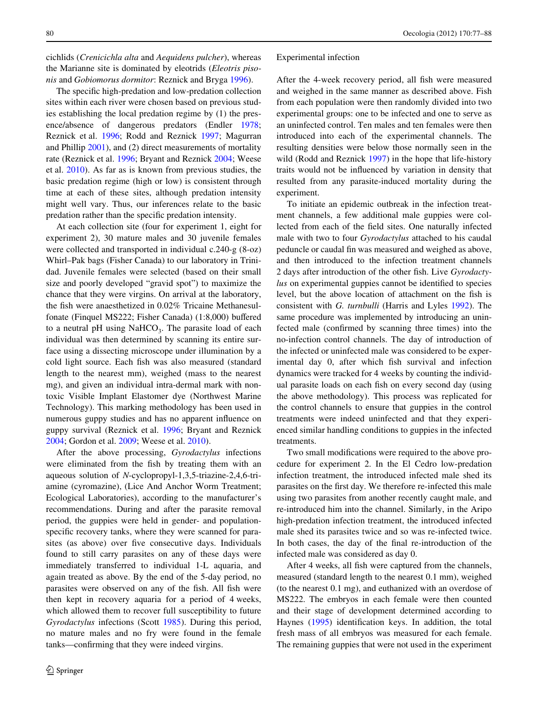cichlids (*Crenicichla alta* and *Aequidens pulcher*), whereas the Marianne site is dominated by eleotrids (*Eleotris pisonis* and *Gobiomorus dormitor*: Reznick and Bryga [1996\)](#page-11-15).

The specific high-predation and low-predation collection sites within each river were chosen based on previous studies establishing the local predation regime by (1) the presence/absence of dangerous predators (Endler [1978](#page-10-19); Reznick et al. [1996](#page-11-5); Rodd and Reznick [1997](#page-11-16); Magurran and Phillip [2001](#page-10-24)), and (2) direct measurements of mortality rate (Reznick et al. [1996](#page-11-5); Bryant and Reznick [2004](#page-10-25); Weese et al. [2010\)](#page-11-17). As far as is known from previous studies, the basic predation regime (high or low) is consistent through time at each of these sites, although predation intensity might well vary. Thus, our inferences relate to the basic predation rather than the specific predation intensity.

At each collection site (four for experiment 1, eight for experiment 2), 30 mature males and 30 juvenile females were collected and transported in individual c.240-g (8-oz) Whirl–Pak bags (Fisher Canada) to our laboratory in Trinidad. Juvenile females were selected (based on their small size and poorly developed "gravid spot") to maximize the chance that they were virgins. On arrival at the laboratory, the fish were anaesthetized in 0.02% Tricaine Methanesulfonate (Finquel MS222; Fisher Canada)  $(1:8,000)$  buffered to a neutral pH using  $NaHCO<sub>3</sub>$ . The parasite load of each individual was then determined by scanning its entire surface using a dissecting microscope under illumination by a cold light source. Each fish was also measured (standard length to the nearest mm), weighed (mass to the nearest mg), and given an individual intra-dermal mark with nontoxic Visible Implant Elastomer dye (Northwest Marine Technology). This marking methodology has been used in numerous guppy studies and has no apparent influence on guppy survival (Reznick et al. [1996;](#page-11-5) Bryant and Reznick [2004](#page-10-25); Gordon et al. [2009](#page-10-10); Weese et al. [2010\)](#page-11-17).

After the above processing, *Gyrodactylus* infections were eliminated from the fish by treating them with an aqueous solution of *N*-cyclopropyl-1,3,5-triazine-2,4,6-triamine (cyromazine), (Lice And Anchor Worm Treatment; Ecological Laboratories), according to the manufacturer's recommendations. During and after the parasite removal period, the guppies were held in gender- and populationspecific recovery tanks, where they were scanned for parasites (as above) over five consecutive days. Individuals found to still carry parasites on any of these days were immediately transferred to individual 1-L aquaria, and again treated as above. By the end of the 5-day period, no parasites were observed on any of the fish. All fish were then kept in recovery aquaria for a period of 4 weeks, which allowed them to recover full susceptibility to future *Gyrodactylus* infections (Scott [1985](#page-11-18)). During this period, no mature males and no fry were found in the female tanks—confirming that they were indeed virgins.

#### Experimental infection

After the 4-week recovery period, all fish were measured and weighed in the same manner as described above. Fish from each population were then randomly divided into two experimental groups: one to be infected and one to serve as an uninfected control. Ten males and ten females were then introduced into each of the experimental channels. The resulting densities were below those normally seen in the wild (Rodd and Reznick [1997\)](#page-11-16) in the hope that life-history traits would not be influenced by variation in density that resulted from any parasite-induced mortality during the experiment.

To initiate an epidemic outbreak in the infection treatment channels, a few additional male guppies were collected from each of the field sites. One naturally infected male with two to four *Gyrodactylus* attached to his caudal peduncle or caudal fin was measured and weighed as above, and then introduced to the infection treatment channels 2 days after introduction of the other fish. Live *Gyrodactylus* on experimental guppies cannot be identified to species level, but the above location of attachment on the fish is consistent with *G. turnbulli* (Harris and Lyles [1992](#page-10-16)). The same procedure was implemented by introducing an uninfected male (confirmed by scanning three times) into the no-infection control channels. The day of introduction of the infected or uninfected male was considered to be experimental day 0, after which fish survival and infection dynamics were tracked for 4 weeks by counting the individual parasite loads on each fish on every second day (using the above methodology). This process was replicated for the control channels to ensure that guppies in the control treatments were indeed uninfected and that they experienced similar handling conditions to guppies in the infected treatments.

Two small modifications were required to the above procedure for experiment 2. In the El Cedro low-predation infection treatment, the introduced infected male shed its parasites on the first day. We therefore re-infected this male using two parasites from another recently caught male, and re-introduced him into the channel. Similarly, in the Aripo high-predation infection treatment, the introduced infected male shed its parasites twice and so was re-infected twice. In both cases, the day of the final re-introduction of the infected male was considered as day 0.

After 4 weeks, all fish were captured from the channels, measured (standard length to the nearest 0.1 mm), weighed (to the nearest 0.1 mg), and euthanized with an overdose of MS222. The embryos in each female were then counted and their stage of development determined according to Haynes  $(1995)$  $(1995)$  identification keys. In addition, the total fresh mass of all embryos was measured for each female. The remaining guppies that were not used in the experiment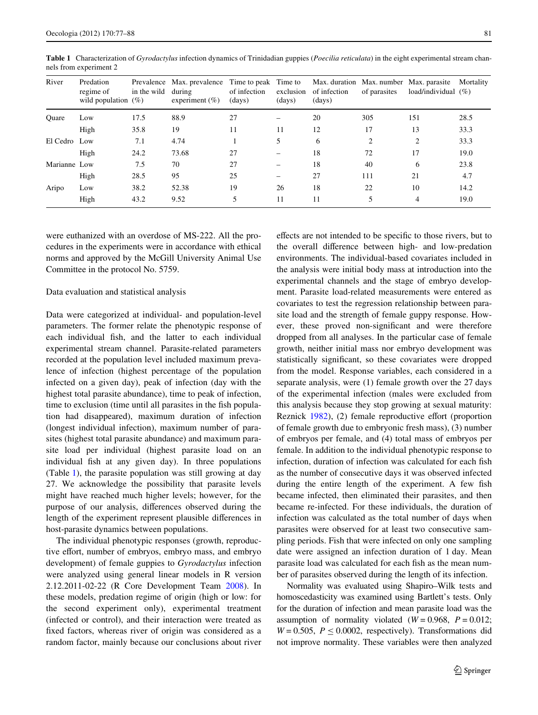| River        | Predation<br>regime of<br>wild population $(\%)$ | in the wild | Prevalence Max. prevalence Time to peak Time to<br>during<br>experiment $(\% )$ | of infection<br>(days) | exclusion<br>(days) | of infection<br>(days) | of parasites | Max. duration Max. number Max. parasite<br>load/individual $(\%)$ | Mortality |
|--------------|--------------------------------------------------|-------------|---------------------------------------------------------------------------------|------------------------|---------------------|------------------------|--------------|-------------------------------------------------------------------|-----------|
| Ouare        | Low                                              | 17.5        | 88.9                                                                            | 27                     |                     | 20                     | 305          | 151                                                               | 28.5      |
|              | High                                             | 35.8        | 19                                                                              | 11                     | 11                  | 12                     | 17           | 13                                                                | 33.3      |
| El Cedro Low |                                                  | 7.1         | 4.74                                                                            |                        | 5                   | 6                      | 2            | 2                                                                 | 33.3      |
|              | High                                             | 24.2        | 73.68                                                                           | 27                     |                     | 18                     | 72           | 17                                                                | 19.0      |
| Marianne Low |                                                  | 7.5         | 70                                                                              | 27                     |                     | 18                     | 40           | 6                                                                 | 23.8      |
|              | High                                             | 28.5        | 95                                                                              | 25                     |                     | 27                     | 111          | 21                                                                | 4.7       |
| Aripo        | Low                                              | 38.2        | 52.38                                                                           | 19                     | 26                  | 18                     | 22           | 10                                                                | 14.2      |
|              | High                                             | 43.2        | 9.52                                                                            | 5                      | 11                  | 11                     | 5            | 4                                                                 | 19.0      |

<span id="page-4-0"></span>**Table 1** Characterization of *Gyrodactylus* infection dynamics of Trinidadian guppies (*Poecilia reticulata*) in the eight experimental stream channels from experiment 2

were euthanized with an overdose of MS-222. All the procedures in the experiments were in accordance with ethical norms and approved by the McGill University Animal Use Committee in the protocol No. 5759.

## Data evaluation and statistical analysis

Data were categorized at individual- and population-level parameters. The former relate the phenotypic response of each individual fish, and the latter to each individual experimental stream channel. Parasite-related parameters recorded at the population level included maximum prevalence of infection (highest percentage of the population infected on a given day), peak of infection (day with the highest total parasite abundance), time to peak of infection, time to exclusion (time until all parasites in the fish population had disappeared), maximum duration of infection (longest individual infection), maximum number of parasites (highest total parasite abundance) and maximum parasite load per individual (highest parasite load on an individual fish at any given day). In three populations (Table [1\)](#page-4-0), the parasite population was still growing at day 27. We acknowledge the possibility that parasite levels might have reached much higher levels; however, for the purpose of our analysis, differences observed during the length of the experiment represent plausible differences in host-parasite dynamics between populations.

The individual phenotypic responses (growth, reproductive effort, number of embryos, embryo mass, and embryo development) of female guppies to *Gyrodactylus* infection were analyzed using general linear models in R version 2.12.2011-02-22 (R Core Development Team [2008\)](#page-10-27). In these models, predation regime of origin (high or low: for the second experiment only), experimental treatment (infected or control), and their interaction were treated as fixed factors, whereas river of origin was considered as a random factor, mainly because our conclusions about river effects are not intended to be specific to those rivers, but to the overall difference between high- and low-predation environments. The individual-based covariates included in the analysis were initial body mass at introduction into the experimental channels and the stage of embryo development. Parasite load-related measurements were entered as covariates to test the regression relationship between parasite load and the strength of female guppy response. However, these proved non-significant and were therefore dropped from all analyses. In the particular case of female growth, neither initial mass nor embryo development was statistically significant, so these covariates were dropped from the model. Response variables, each considered in a separate analysis, were (1) female growth over the 27 days of the experimental infection (males were excluded from this analysis because they stop growing at sexual maturity: Reznick  $1982$ ), (2) female reproductive effort (proportion of female growth due to embryonic fresh mass), (3) number of embryos per female, and (4) total mass of embryos per female. In addition to the individual phenotypic response to infection, duration of infection was calculated for each fish as the number of consecutive days it was observed infected during the entire length of the experiment. A few fish became infected, then eliminated their parasites, and then became re-infected. For these individuals, the duration of infection was calculated as the total number of days when parasites were observed for at least two consecutive sampling periods. Fish that were infected on only one sampling date were assigned an infection duration of 1 day. Mean parasite load was calculated for each fish as the mean number of parasites observed during the length of its infection.

Normality was evaluated using Shapiro–Wilk tests and homoscedasticity was examined using Bartlett's tests. Only for the duration of infection and mean parasite load was the assumption of normality violated ( $W = 0.968$ ,  $P = 0.012$ ;  $W = 0.505$ ,  $P < 0.0002$ , respectively). Transformations did not improve normality. These variables were then analyzed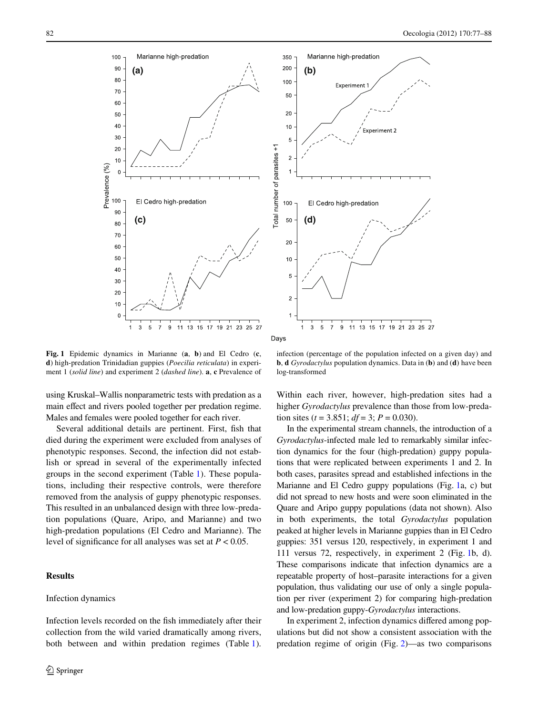



Days

<span id="page-5-0"></span>**Fig. 1** Epidemic dynamics in Marianne (**a**, **b**) and El Cedro (**c**, **d**) high-predation Trinidadian guppies (*Poecilia reticulata*) in experiment 1 (*solid line*) and experiment 2 (*dashed line*). **a**, **c** Prevalence of

infection (percentage of the population infected on a given day) and **b**, **d** *Gyrodactylus* population dynamics. Data in (**b**) and (**d**) have been log-transformed

using Kruskal–Wallis nonparametric tests with predation as a main effect and rivers pooled together per predation regime. Males and females were pooled together for each river.

Several additional details are pertinent. First, fish that died during the experiment were excluded from analyses of phenotypic responses. Second, the infection did not establish or spread in several of the experimentally infected groups in the second experiment (Table [1\)](#page-4-0). These populations, including their respective controls, were therefore removed from the analysis of guppy phenotypic responses. This resulted in an unbalanced design with three low-predation populations (Quare, Aripo, and Marianne) and two high-predation populations (El Cedro and Marianne). The level of significance for all analyses was set at  $P < 0.05$ .

# **Results**

# Infection dynamics

Infection levels recorded on the fish immediately after their collection from the wild varied dramatically among rivers, both between and within predation regimes (Table [1](#page-4-0)). Within each river, however, high-predation sites had a higher *Gyrodactylus* prevalence than those from low-predation sites ( $t = 3.851$ ;  $df = 3$ ;  $P = 0.030$ ).

In the experimental stream channels, the introduction of a *Gyrodactylus*-infected male led to remarkably similar infection dynamics for the four (high-predation) guppy populations that were replicated between experiments 1 and 2. In both cases, parasites spread and established infections in the Marianne and El Cedro guppy populations (Fig. [1a](#page-5-0), c) but did not spread to new hosts and were soon eliminated in the Quare and Aripo guppy populations (data not shown). Also in both experiments, the total *Gyrodactylus* population peaked at higher levels in Marianne guppies than in El Cedro guppies: 351 versus 120, respectively, in experiment 1 and 111 versus 72, respectively, in experiment 2 (Fig. [1b](#page-5-0), d). These comparisons indicate that infection dynamics are a repeatable property of host–parasite interactions for a given population, thus validating our use of only a single population per river (experiment 2) for comparing high-predation and low-predation guppy-*Gyrodactylus* interactions.

In experiment 2, infection dynamics differed among populations but did not show a consistent association with the predation regime of origin (Fig. [2](#page-6-0))—as two comparisons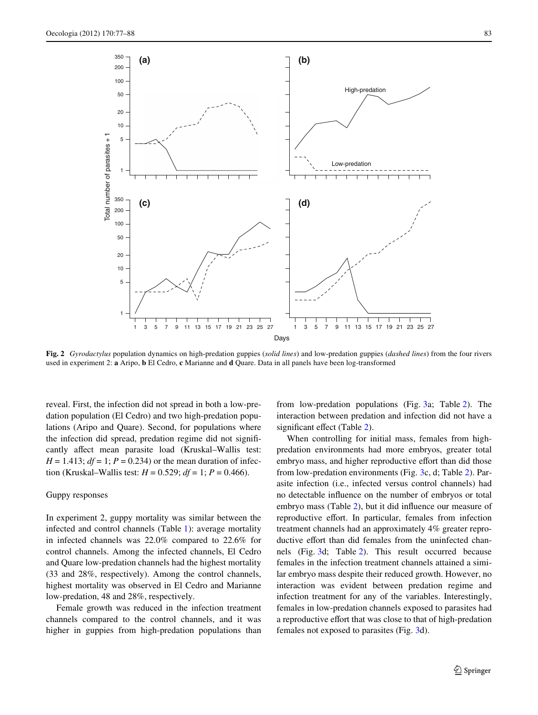

<span id="page-6-0"></span>**Fig. 2** *Gyrodactylus* population dynamics on high-predation guppies (*solid lines*) and low-predation guppies (*dashed lines*) from the four rivers used in experiment 2: **a** Aripo, **b** El Cedro, **c** Marianne and **d** Quare. Data in all panels have been log-transformed

reveal. First, the infection did not spread in both a low-predation population (El Cedro) and two high-predation populations (Aripo and Quare). Second, for populations where the infection did spread, predation regime did not significantly affect mean parasite load (Kruskal–Wallis test: *H* = 1.413; *df* = 1; *P* = 0.234) or the mean duration of infection (Kruskal–Wallis test:  $H = 0.529$ ;  $df = 1$ ;  $P = 0.466$ ).

#### Guppy responses

In experiment 2, guppy mortality was similar between the infected and control channels (Table [1](#page-4-0)): average mortality in infected channels was 22.0% compared to 22.6% for control channels. Among the infected channels, El Cedro and Quare low-predation channels had the highest mortality (33 and 28%, respectively). Among the control channels, highest mortality was observed in El Cedro and Marianne low-predation, 48 and 28%, respectively.

Female growth was reduced in the infection treatment channels compared to the control channels, and it was higher in guppies from high-predation populations than from low-predation populations (Fig. [3](#page-7-0)a; Table [2\)](#page-7-1). The interaction between predation and infection did not have a significant effect (Table [2\)](#page-7-1).

When controlling for initial mass, females from highpredation environments had more embryos, greater total embryo mass, and higher reproductive effort than did those from low-predation environments (Fig. [3c](#page-7-0), d; Table [2](#page-7-1)). Parasite infection (i.e., infected versus control channels) had no detectable influence on the number of embryos or total embryo mass (Table [2\)](#page-7-1), but it did influence our measure of reproductive effort. In particular, females from infection treatment channels had an approximately 4% greater reproductive effort than did females from the uninfected channels (Fig. [3](#page-7-0)d; Table [2\)](#page-7-1). This result occurred because females in the infection treatment channels attained a similar embryo mass despite their reduced growth. However, no interaction was evident between predation regime and infection treatment for any of the variables. Interestingly, females in low-predation channels exposed to parasites had a reproductive effort that was close to that of high-predation females not exposed to parasites (Fig. [3d](#page-7-0)).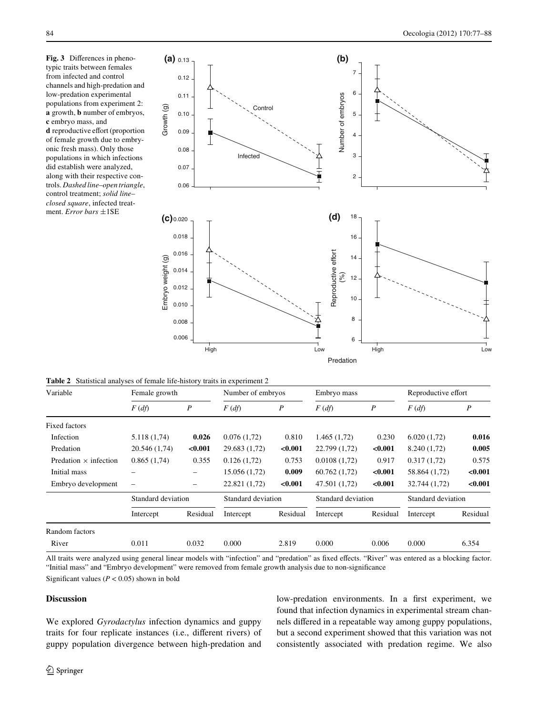<span id="page-7-0"></span>Fig. 3 Differences in phenotypic traits between females from infected and control channels and high-predation and low-predation experimental populations from experiment 2: **a** growth, **b** number of embryos, **c** embryo mass, and **d** reproductive effort (proportion of female growth due to embryonic fresh mass). Only those populations in which infections did establish were analyzed, along with their respective controls. *Dashed line–open triangle*, control treatment; *solid line– closed square*, infected treatment. *Error bars* ±1SE



<span id="page-7-1"></span>

|  |  |  | <b>Table 2</b> Statistical analyses of female life-history traits in experiment 2 |
|--|--|--|-----------------------------------------------------------------------------------|
|  |  |  |                                                                                   |

| Variable                     | Female growth            |                  | Number of embryos  |                  | Embryo mass        |                  | Reproductive effort |                  |
|------------------------------|--------------------------|------------------|--------------------|------------------|--------------------|------------------|---------------------|------------------|
|                              | $F(d\hat{f})$            | $\boldsymbol{P}$ | $F(d\hat{f})$      | $\boldsymbol{P}$ | $F(d\hat{f})$      | $\boldsymbol{P}$ | $F(d\hat{f})$       | $\boldsymbol{P}$ |
| <b>Fixed factors</b>         |                          |                  |                    |                  |                    |                  |                     |                  |
| Infection                    | 5.118(1,74)              | 0.026            | 0.076(1.72)        | 0.810            | 1.465(1,72)        | 0.230            | 6.020(1,72)         | 0.016            |
| Predation                    | 20.546 (1,74)            | < 0.001          | 29.683 (1,72)      | < 0.001          | 22.799 (1,72)      | < 0.001          | 8.240 (1,72)        | 0.005            |
| Predation $\times$ infection | 0.865(1,74)              | 0.355            | 0.126(1.72)        | 0.753            | 0.0108(1.72)       | 0.917            | 0.317(1.72)         | 0.575            |
| Initial mass                 |                          |                  | 15.056 (1,72)      | 0.009            | 60.762(1,72)       | < 0.001          | 58.864 (1,72)       | < 0.001          |
| Embryo development           | $\overline{\phantom{0}}$ | -                | 22.821 (1,72)      | < 0.001          | 47.501 (1,72)      | < 0.001          | 32.744 (1,72)       | < 0.001          |
|                              | Standard deviation       |                  | Standard deviation |                  | Standard deviation |                  | Standard deviation  |                  |
|                              | Intercept                | Residual         | Intercept          | Residual         | Intercept          | Residual         | Intercept           | Residual         |
| Random factors               |                          |                  |                    |                  |                    |                  |                     |                  |
| River                        | 0.011                    | 0.032            | 0.000              | 2.819            | 0.000              | 0.006            | 0.000               | 6.354            |

All traits were analyzed using general linear models with "infection" and "predation" as fixed effects. "River" was entered as a blocking factor. "Initial mass" and "Embryo development" were removed from female growth analysis due to non-significance

Significant values ( $P < 0.05$ ) shown in bold

# **Discussion**

We explored *Gyrodactylus* infection dynamics and guppy traits for four replicate instances (i.e., different rivers) of guppy population divergence between high-predation and low-predation environments. In a first experiment, we found that infection dynamics in experimental stream channels differed in a repeatable way among guppy populations, but a second experiment showed that this variation was not consistently associated with predation regime. We also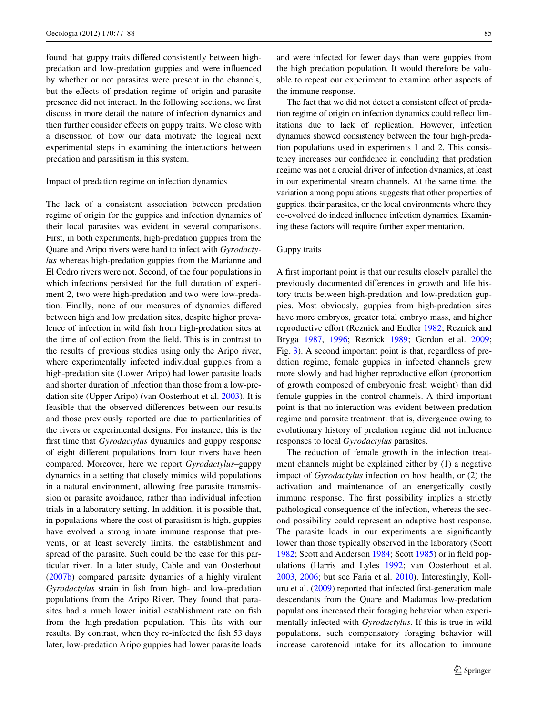found that guppy traits differed consistently between highpredation and low-predation guppies and were influenced by whether or not parasites were present in the channels, but the effects of predation regime of origin and parasite presence did not interact. In the following sections, we first discuss in more detail the nature of infection dynamics and then further consider effects on guppy traits. We close with a discussion of how our data motivate the logical next experimental steps in examining the interactions between predation and parasitism in this system.

Impact of predation regime on infection dynamics

The lack of a consistent association between predation regime of origin for the guppies and infection dynamics of their local parasites was evident in several comparisons. First, in both experiments, high-predation guppies from the Quare and Aripo rivers were hard to infect with *Gyrodactylus* whereas high-predation guppies from the Marianne and El Cedro rivers were not. Second, of the four populations in which infections persisted for the full duration of experiment 2, two were high-predation and two were low-predation. Finally, none of our measures of dynamics differed between high and low predation sites, despite higher prevalence of infection in wild fish from high-predation sites at the time of collection from the field. This is in contrast to the results of previous studies using only the Aripo river, where experimentally infected individual guppies from a high-predation site (Lower Aripo) had lower parasite loads and shorter duration of infection than those from a low-predation site (Upper Aripo) (van Oosterhout et al. [2003](#page-11-13)). It is feasible that the observed differences between our results and those previously reported are due to particularities of the rivers or experimental designs. For instance, this is the first time that *Gyrodactylus* dynamics and guppy response of eight different populations from four rivers have been compared. Moreover, here we report *Gyrodactylus*–guppy dynamics in a setting that closely mimics wild populations in a natural environment, allowing free parasite transmission or parasite avoidance, rather than individual infection trials in a laboratory setting. In addition, it is possible that, in populations where the cost of parasitism is high, guppies have evolved a strong innate immune response that prevents, or at least severely limits, the establishment and spread of the parasite. Such could be the case for this particular river. In a later study, Cable and van Oosterhout [\(2007b](#page-10-18)) compared parasite dynamics of a highly virulent *Gyrodactylus* strain in fish from high- and low-predation populations from the Aripo River. They found that parasites had a much lower initial establishment rate on fish from the high-predation population. This fits with our results. By contrast, when they re-infected the fish 53 days later, low-predation Aripo guppies had lower parasite loads

and were infected for fewer days than were guppies from the high predation population. It would therefore be valuable to repeat our experiment to examine other aspects of the immune response.

The fact that we did not detect a consistent effect of predation regime of origin on infection dynamics could reflect limitations due to lack of replication. However, infection dynamics showed consistency between the four high-predation populations used in experiments 1 and 2. This consistency increases our confidence in concluding that predation regime was not a crucial driver of infection dynamics, at least in our experimental stream channels. At the same time, the variation among populations suggests that other properties of guppies, their parasites, or the local environments where they co-evolved do indeed influence infection dynamics. Examining these factors will require further experimentation.

## Guppy traits

A first important point is that our results closely parallel the previously documented differences in growth and life history traits between high-predation and low-predation guppies. Most obviously, guppies from high-predation sites have more embryos, greater total embryo mass, and higher reproductive effort (Reznick and Endler [1982;](#page-11-20) Reznick and Bryga [1987](#page-11-8), [1996;](#page-11-15) Reznick [1989;](#page-11-21) Gordon et al. [2009;](#page-10-10) Fig. [3\)](#page-7-0). A second important point is that, regardless of predation regime, female guppies in infected channels grew more slowly and had higher reproductive effort (proportion of growth composed of embryonic fresh weight) than did female guppies in the control channels. A third important point is that no interaction was evident between predation regime and parasite treatment: that is, divergence owing to evolutionary history of predation regime did not influence responses to local *Gyrodactylus* parasites.

The reduction of female growth in the infection treatment channels might be explained either by (1) a negative impact of *Gyrodactylus* infection on host health, or (2) the activation and maintenance of an energetically costly immune response. The first possibility implies a strictly pathological consequence of the infection, whereas the second possibility could represent an adaptive host response. The parasite loads in our experiments are significantly lower than those typically observed in the laboratory (Scott [1982](#page-11-11); Scott and Anderson  $1984$ ; Scott [1985\)](#page-11-18) or in field populations (Harris and Lyles [1992;](#page-10-16) van Oosterhout et al. [2003](#page-11-13), [2006](#page-11-9); but see Faria et al. [2010](#page-10-28)). Interestingly, Kolluru et al.  $(2009)$  $(2009)$  reported that infected first-generation male descendants from the Quare and Madamas low-predation populations increased their foraging behavior when experimentally infected with *Gyrodactylus*. If this is true in wild populations, such compensatory foraging behavior will increase carotenoid intake for its allocation to immune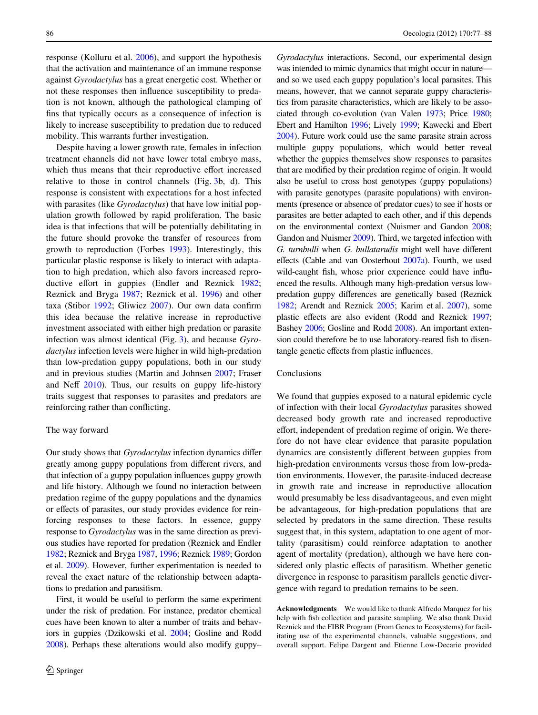response (Kolluru et al. [2006](#page-10-30)), and support the hypothesis that the activation and maintenance of an immune response against *Gyrodactylus* has a great energetic cost. Whether or not these responses then influence susceptibility to predation is not known, although the pathological clamping of fins that typically occurs as a consequence of infection is likely to increase susceptibility to predation due to reduced mobility. This warrants further investigation.

Despite having a lower growth rate, females in infection treatment channels did not have lower total embryo mass, which thus means that their reproductive effort increased relative to those in control channels (Fig. [3b](#page-7-0), d). This response is consistent with expectations for a host infected with parasites (like *Gyrodactylus*) that have low initial population growth followed by rapid proliferation. The basic idea is that infections that will be potentially debilitating in the future should provoke the transfer of resources from growth to reproduction (Forbes [1993\)](#page-10-31). Interestingly, this particular plastic response is likely to interact with adaptation to high predation, which also favors increased repro-ductive effort in guppies (Endler and Reznick [1982](#page-11-19); Reznick and Bryga [1987](#page-11-8); Reznick et al. [1996\)](#page-11-5) and other taxa (Stibor  $1992$ ; Gliwicz  $2007$ ). Our own data confirm this idea because the relative increase in reproductive investment associated with either high predation or parasite infection was almost identical (Fig. [3](#page-7-0)), and because *Gyrodactylus* infection levels were higher in wild high-predation than low-predation guppy populations, both in our study and in previous studies (Martin and Johnsen [2007;](#page-10-17) Fraser and Neff  $2010$ ). Thus, our results on guppy life-history traits suggest that responses to parasites and predators are reinforcing rather than conflicting.

#### The way forward

Our study shows that *Gyrodactylus* infection dynamics differ greatly among guppy populations from different rivers, and that infection of a guppy population influences guppy growth and life history. Although we found no interaction between predation regime of the guppy populations and the dynamics or effects of parasites, our study provides evidence for reinforcing responses to these factors. In essence, guppy response to *Gyrodactylus* was in the same direction as previous studies have reported for predation (Reznick and Endler [1982;](#page-11-20) Reznick and Bryga [1987,](#page-11-8) [1996;](#page-11-15) Reznick [1989](#page-11-21); Gordon et al. [2009\)](#page-10-10). However, further experimentation is needed to reveal the exact nature of the relationship between adaptations to predation and parasitism.

First, it would be useful to perform the same experiment under the risk of predation. For instance, predator chemical cues have been known to alter a number of traits and behaviors in guppies (Dzikowski et al. [2004](#page-10-33); Gosline and Rodd [2008](#page-10-34)). Perhaps these alterations would also modify guppy–

*Gyrodactylus* interactions. Second, our experimental design was intended to mimic dynamics that might occur in nature and so we used each guppy population's local parasites. This means, however, that we cannot separate guppy characteristics from parasite characteristics, which are likely to be associated through co-evolution (van Valen [1973](#page-11-23); Price [1980;](#page-10-35) Ebert and Hamilton [1996](#page-10-36); Lively [1999;](#page-10-37) Kawecki and Ebert [2004\)](#page-10-38). Future work could use the same parasite strain across multiple guppy populations, which would better reveal whether the guppies themselves show responses to parasites that are modified by their predation regime of origin. It would also be useful to cross host genotypes (guppy populations) with parasite genotypes (parasite populations) with environments (presence or absence of predator cues) to see if hosts or parasites are better adapted to each other, and if this depends on the environmental context (Nuismer and Gandon [2008;](#page-10-39) Gandon and Nuismer [2009](#page-10-40)). Third, we targeted infection with *G. turnbulli* when *G. bullatarudis* might well have different effects (Cable and van Oosterhout [2007a](#page-10-11)). Fourth, we used wild-caught fish, whose prior experience could have influenced the results. Although many high-predation versus lowpredation guppy differences are genetically based (Reznick [1982;](#page-11-19) Arendt and Reznick [2005;](#page-10-41) Karim et al. [2007](#page-10-42)), some plastic effects are also evident (Rodd and Reznick [1997;](#page-11-16) Bashey [2006](#page-10-43); Gosline and Rodd [2008](#page-10-34)). An important extension could therefore be to use laboratory-reared fish to disentangle genetic effects from plastic influences.

# Conclusions

We found that guppies exposed to a natural epidemic cycle of infection with their local *Gyrodactylus* parasites showed decreased body growth rate and increased reproductive effort, independent of predation regime of origin. We therefore do not have clear evidence that parasite population dynamics are consistently different between guppies from high-predation environments versus those from low-predation environments. However, the parasite-induced decrease in growth rate and increase in reproductive allocation would presumably be less disadvantageous, and even might be advantageous, for high-predation populations that are selected by predators in the same direction. These results suggest that, in this system, adaptation to one agent of mortality (parasitism) could reinforce adaptation to another agent of mortality (predation), although we have here considered only plastic effects of parasitism. Whether genetic divergence in response to parasitism parallels genetic divergence with regard to predation remains to be seen.

**Acknowledgments** We would like to thank Alfredo Marquez for his help with fish collection and parasite sampling. We also thank David Reznick and the FIBR Program (From Genes to Ecosystems) for facilitating use of the experimental channels, valuable suggestions, and overall support. Felipe Dargent and Etienne Low-Decarie provided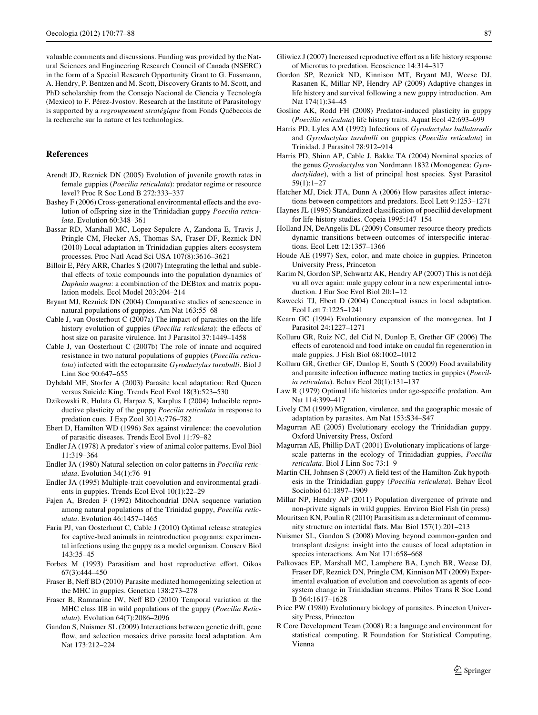valuable comments and discussions. Funding was provided by the Natural Sciences and Engineering Research Council of Canada (NSERC) in the form of a Special Research Opportunity Grant to G. Fussmann, A. Hendry, P. Bentzen and M. Scott, Discovery Grants to M. Scott, and PhD scholarship from the Consejo Nacional de Ciencia y Tecnología (Mexico) to F. Pérez-Jvostov. Research at the Institute of Parasitology is supported by a *regroupement stratégique* from Fonds Québecois de la recherche sur la nature et les technologies.

## **References**

- <span id="page-10-41"></span>Arendt JD, Reznick DN (2005) Evolution of juvenile growth rates in female guppies (*Poecilia reticulata*): predator regime or resource level? Proc R Soc Lond B 272:333–337
- <span id="page-10-43"></span>Bashey F (2006) Cross-generational environmental effects and the evolution of offspring size in the Trinidadian guppy *Poecilia reticulata*. Evolution 60:348–361
- <span id="page-10-22"></span>Bassar RD, Marshall MC, Lopez-Sepulcre A, Zandona E, Travis J, Pringle CM, Flecker AS, Thomas SA, Fraser DF, Reznick DN (2010) Local adaptation in Trinidadian guppies alters ecosystem processes. Proc Natl Acad Sci USA 107(8):3616–3621
- <span id="page-10-2"></span>Billoir E, Péry ARR, Charles S (2007) Integrating the lethal and sublethal effects of toxic compounds into the population dynamics of *Daphnia magna*: a combination of the DEBtox and matrix population models. Ecol Model 203:204–214
- <span id="page-10-25"></span>Bryant MJ, Reznick DN (2004) Comparative studies of senescence in natural populations of guppies. Am Nat 163:55–68
- <span id="page-10-11"></span>Cable J, van Oosterhout C (2007a) The impact of parasites on the life history evolution of guppies (*Poecilia reticulata*): the effects of host size on parasite virulence. Int J Parasitol 37:1449–1458
- <span id="page-10-18"></span>Cable J, van Oosterhout C (2007b) The role of innate and acquired resistance in two natural populations of guppies (*Poecilia reticulata*) infected with the ectoparasite *Gyrodactylus turnbulli*. Biol J Linn Soc 90:647–655
- <span id="page-10-5"></span>Dybdahl MF, Storfer A (2003) Parasite local adaptation: Red Queen versus Suicide King. Trends Ecol Evol 18(3):523–530
- <span id="page-10-33"></span>Dzikowski R, Hulata G, Harpaz S, Karplus I (2004) Inducible reproductive plasticity of the guppy *Poecilia reticulata* in response to predation cues. J Exp Zool 301A:776–782
- <span id="page-10-36"></span>Ebert D, Hamilton WD (1996) Sex against virulence: the coevolution of parasitic diseases. Trends Ecol Evol 11:79–82
- <span id="page-10-19"></span>Endler JA (1978) A predator's view of animal color patterns. Evol Biol 11:319–364
- <span id="page-10-9"></span>Endler JA (1980) Natural selection on color patterns in *Poecilia reticulata*. Evolution 34(1):76–91
- <span id="page-10-6"></span>Endler JA (1995) Multiple-trait coevolution and environmental gradients in guppies. Trends Ecol Evol 10(1):22–29
- <span id="page-10-23"></span>Fajen A, Breden F (1992) Mitochondrial DNA sequence variation among natural populations of the Trinidad guppy, *Poecilia reticulata*. Evolution 46:1457–1465
- <span id="page-10-28"></span>Faria PJ, van Oosterhout C, Cable J (2010) Optimal release strategies for captive-bred animals in reintroduction programs: experimental infections using the guppy as a model organism. Conserv Biol 143:35–45
- <span id="page-10-31"></span>Forbes M (1993) Parasitism and host reproductive effort. Oikos 67(3):444–450
- <span id="page-10-12"></span>Fraser B, Neff BD (2010) Parasite mediated homogenizing selection at the MHC in guppies. Genetica 138:273–278
- <span id="page-10-13"></span>Fraser B, Ramnarine IW, Neff BD (2010) Temporal variation at the MHC class IIB in wild populations of the guppy (*Poecilia Reticulata*). Evolution 64(7):2086–2096
- <span id="page-10-40"></span>Gandon S, Nuismer SL (2009) Interactions between genetic drift, gene flow, and selection mosaics drive parasite local adaptation. Am Nat 173:212–224
- <span id="page-10-32"></span>Gliwicz  $J(2007)$  Increased reproductive effort as a life history response of Microtus to predation. Ecoscience 14:314–317
- <span id="page-10-10"></span>Gordon SP, Reznick ND, Kinnison MT, Bryant MJ, Weese DJ, Rasanen K, Millar NP, Hendry AP (2009) Adaptive changes in life history and survival following a new guppy introduction. Am Nat 174(1):34–45
- <span id="page-10-34"></span>Gosline AK, Rodd FH (2008) Predator-induced plasticity in guppy (*Poecilia reticulata*) life history traits. Aquat Ecol 42:693–699
- <span id="page-10-16"></span>Harris PD, Lyles AM (1992) Infections of *Gyrodactylus bullatarudis* and *Gyrodactylus turnbulli* on guppies (*Poecilia reticulata*) in Trinidad. J Parasitol 78:912–914
- <span id="page-10-15"></span>Harris PD, Shinn AP, Cable J, Bakke TA (2004) Nominal species of the genus *Gyrodactylus* von Nordmann 1832 (Monogenea: *Gyrodactylidae*), with a list of principal host species. Syst Parasitol 59(1):1–27
- <span id="page-10-4"></span>Hatcher MJ, Dick JTA, Dunn A (2006) How parasites affect interactions between competitors and predators. Ecol Lett 9:1253–1271
- <span id="page-10-26"></span>Haynes JL (1995) Standardized classification of poeciliid development for life-history studies. Copeia 1995:147–154
- <span id="page-10-1"></span>Holland JN, DeAngelis DL (2009) Consumer-resource theory predicts dynamic transitions between outcomes of interspecific interactions. Ecol Lett 12:1357–1366
- <span id="page-10-7"></span>Houde AE (1997) Sex, color, and mate choice in guppies. Princeton University Press, Princeton
- <span id="page-10-42"></span>Karim N, Gordon SP, Schwartz AK, Hendry AP (2007) This is not déjà vu all over again: male guppy colour in a new experimental introduction. J Eur Soc Evol Biol 20:1–12
- <span id="page-10-38"></span>Kawecki TJ, Ebert D (2004) Conceptual issues in local adaptation. Ecol Lett 7:1225–1241
- <span id="page-10-14"></span>Kearn GC (1994) Evolutionary expansion of the monogenea. Int J Parasitol 24:1227–1271
- <span id="page-10-30"></span>Kolluru GR, Ruiz NC, del Cid N, Dunlop E, Grether GF (2006) The effects of carotenoid and food intake on caudal fin regeneration in male guppies. J Fish Biol 68:1002–1012
- <span id="page-10-29"></span>Kolluru GR, Grether GF, Dunlop E, South S (2009) Food availability and parasite infection influence mating tactics in guppies (*Poecilia reticulata*). Behav Ecol 20(1):131–137
- <span id="page-10-3"></span>Law R (1979) Optimal life histories under age-specific predation. Am Nat 114:399–417
- <span id="page-10-37"></span>Lively CM (1999) Migration, virulence, and the geographic mosaic of adaptation by parasites. Am Nat 153:S34–S47
- <span id="page-10-8"></span>Magurran AE (2005) Evolutionary ecology the Trinidadian guppy. Oxford University Press, Oxford
- <span id="page-10-24"></span>Magurran AE, Phillip DAT (2001) Evolutionary implications of largescale patterns in the ecology of Trinidadian guppies, *Poecilia reticulata*. Biol J Linn Soc 73:1–9
- <span id="page-10-17"></span>Martin CH, Johnsen S (2007) A field test of the Hamilton-Zuk hypothesis in the Trinidadian guppy (*Poecilia reticulata*). Behav Ecol Sociobiol 61:1897–1909
- <span id="page-10-20"></span>Millar NP, Hendry AP (2011) Population divergence of private and non-private signals in wild guppies. Environ Biol Fish (in press)
- <span id="page-10-0"></span>Mouritsen KN, Poulin R (2010) Parasitism as a determinant of community structure on intertidal flats. Mar Biol  $157(1):201-213$
- <span id="page-10-39"></span>Nuismer SL, Gandon S (2008) Moving beyond common-garden and transplant designs: insight into the causes of local adaptation in species interactions. Am Nat 171:658–668
- <span id="page-10-21"></span>Palkovacs EP, Marshall MC, Lamphere BA, Lynch BR, Weese DJ, Fraser DF, Reznick DN, Pringle CM, Kinnison MT (2009) Experimental evaluation of evolution and coevolution as agents of ecosystem change in Trinidadian streams. Philos Trans R Soc Lond B 364:1617–1628
- <span id="page-10-35"></span>Price PW (1980) Evolutionary biology of parasites. Princeton University Press, Princeton
- <span id="page-10-27"></span>R Core Development Team (2008) R: a language and environment for statistical computing. R Foundation for Statistical Computing, Vienna